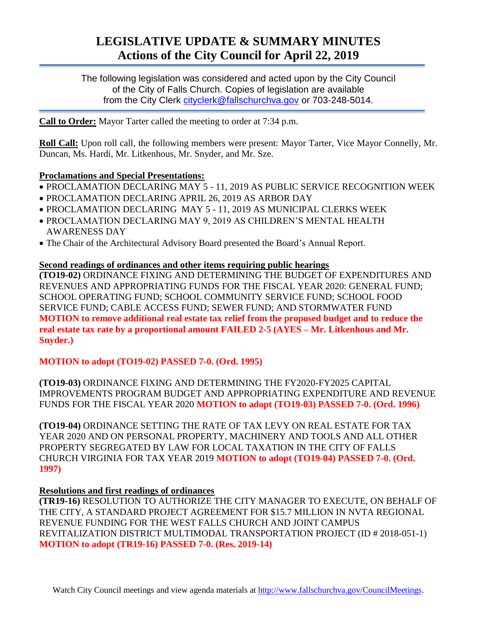# **LEGISLATIVE UPDATE & SUMMARY MINUTES Actions of the City Council for April 22, 2019**

The following legislation was considered and acted upon by the City Council of the City of Falls Church. Copies of legislation are available from the City Clerk [cityclerk@fallschurchva.gov](mailto:cityclerk@fallschurchva.gov) or 703-248-5014.

**Call to Order:** Mayor Tarter called the meeting to order at 7:34 p.m.

**Roll Call:** Upon roll call, the following members were present: Mayor Tarter, Vice Mayor Connelly, Mr. Duncan, Ms. Hardi, Mr. Litkenhous, Mr. Snyder, and Mr. Sze.

## **Proclamations and Special Presentations:**

- PROCLAMATION DECLARING MAY 5 11, 2019 AS PUBLIC SERVICE RECOGNITION WEEK
- PROCLAMATION DECLARING APRIL 26, 2019 AS ARBOR DAY
- PROCLAMATION DECLARING MAY 5 11, 2019 AS MUNICIPAL CLERKS WEEK
- PROCLAMATION DECLARING MAY 9, 2019 AS CHILDREN'S MENTAL HEALTH AWARENESS DAY
- The Chair of the Architectural Advisory Board presented the Board's Annual Report.

### **Second readings of ordinances and other items requiring public hearings**

**(TO19-02)** ORDINANCE FIXING AND DETERMINING THE BUDGET OF EXPENDITURES AND REVENUES AND APPROPRIATING FUNDS FOR THE FISCAL YEAR 2020: GENERAL FUND; SCHOOL OPERATING FUND; SCHOOL COMMUNITY SERVICE FUND; SCHOOL FOOD SERVICE FUND; CABLE ACCESS FUND; SEWER FUND; AND STORMWATER FUND **MOTION to remove additional real estate tax relief from the proposed budget and to reduce the real estate tax rate by a proportional amount FAILED 2-5 (AYES – Mr. Litkenhous and Mr. Snyder.)**

# **MOTION to adopt (TO19-02) PASSED 7-0. (Ord. 1995)**

**(TO19-03)** ORDINANCE FIXING AND DETERMINING THE FY2020-FY2025 CAPITAL IMPROVEMENTS PROGRAM BUDGET AND APPROPRIATING EXPENDITURE AND REVENUE FUNDS FOR THE FISCAL YEAR 2020 **MOTION to adopt (TO19-03) PASSED 7-0. (Ord. 1996)**

**(TO19-04)** ORDINANCE SETTING THE RATE OF TAX LEVY ON REAL ESTATE FOR TAX YEAR 2020 AND ON PERSONAL PROPERTY, MACHINERY AND TOOLS AND ALL OTHER PROPERTY SEGREGATED BY LAW FOR LOCAL TAXATION IN THE CITY OF FALLS CHURCH VIRGINIA FOR TAX YEAR 2019 **MOTION to adopt (TO19-04) PASSED 7-0. (Ord. 1997)**

### **Resolutions and first readings of ordinances**

**(TR19-16)** RESOLUTION TO AUTHORIZE THE CITY MANAGER TO EXECUTE, ON BEHALF OF THE CITY, A STANDARD PROJECT AGREEMENT FOR \$15.7 MILLION IN NVTA REGIONAL REVENUE FUNDING FOR THE WEST FALLS CHURCH AND JOINT CAMPUS REVITALIZATION DISTRICT MULTIMODAL TRANSPORTATION PROJECT (ID # 2018-051-1) **MOTION to adopt (TR19-16) PASSED 7-0. (Res. 2019-14)**